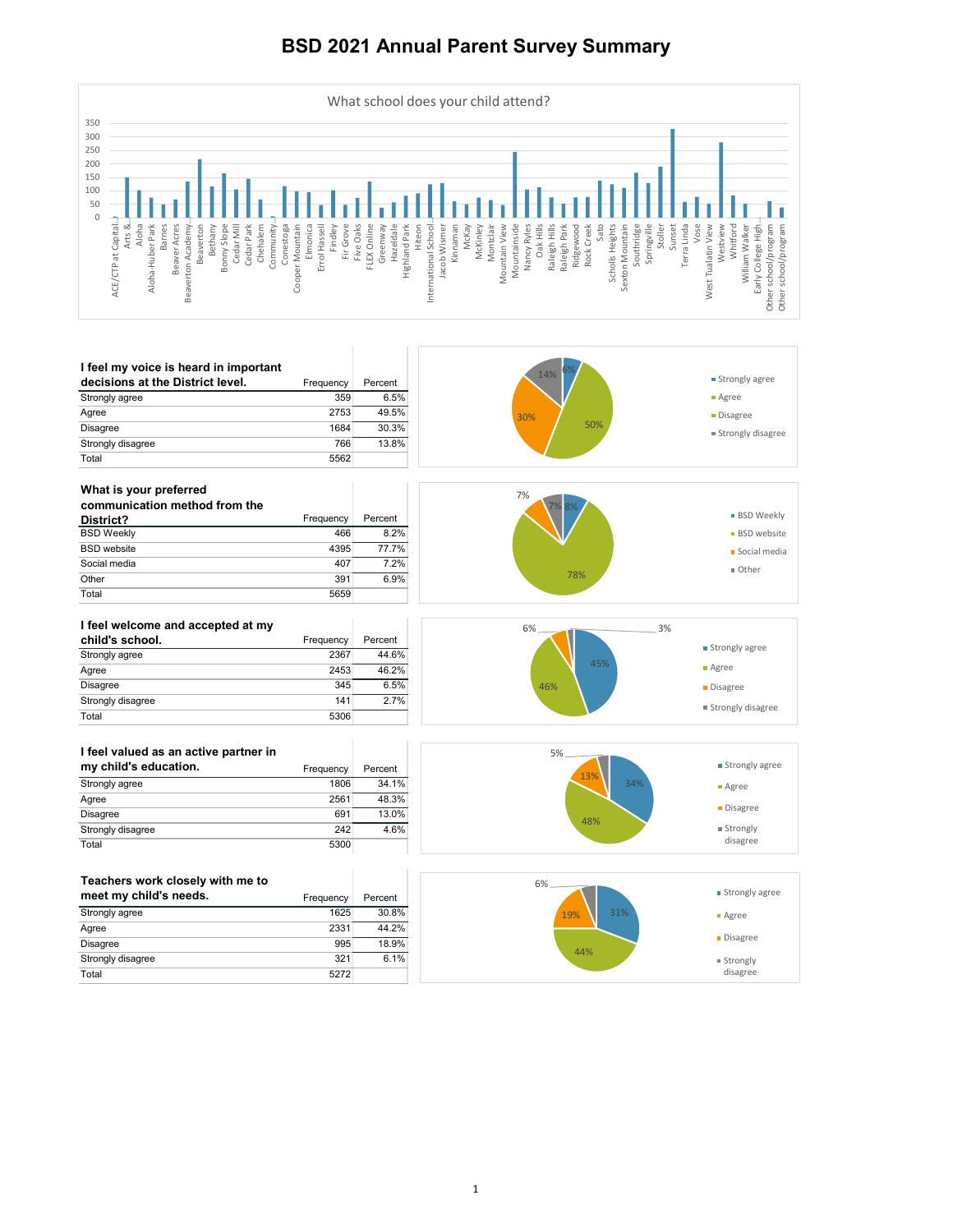| Teachers work closely with me to<br>meet my child's needs. | Frequency | Percent |
|------------------------------------------------------------|-----------|---------|
| Strongly agree                                             | 1625      | 30.8%   |
| Agree                                                      | 2331      | 44.2%   |
| <b>Disagree</b>                                            | 995       | 18.9%   |
| Strongly disagree                                          | 321       | 6.1%    |

|--|



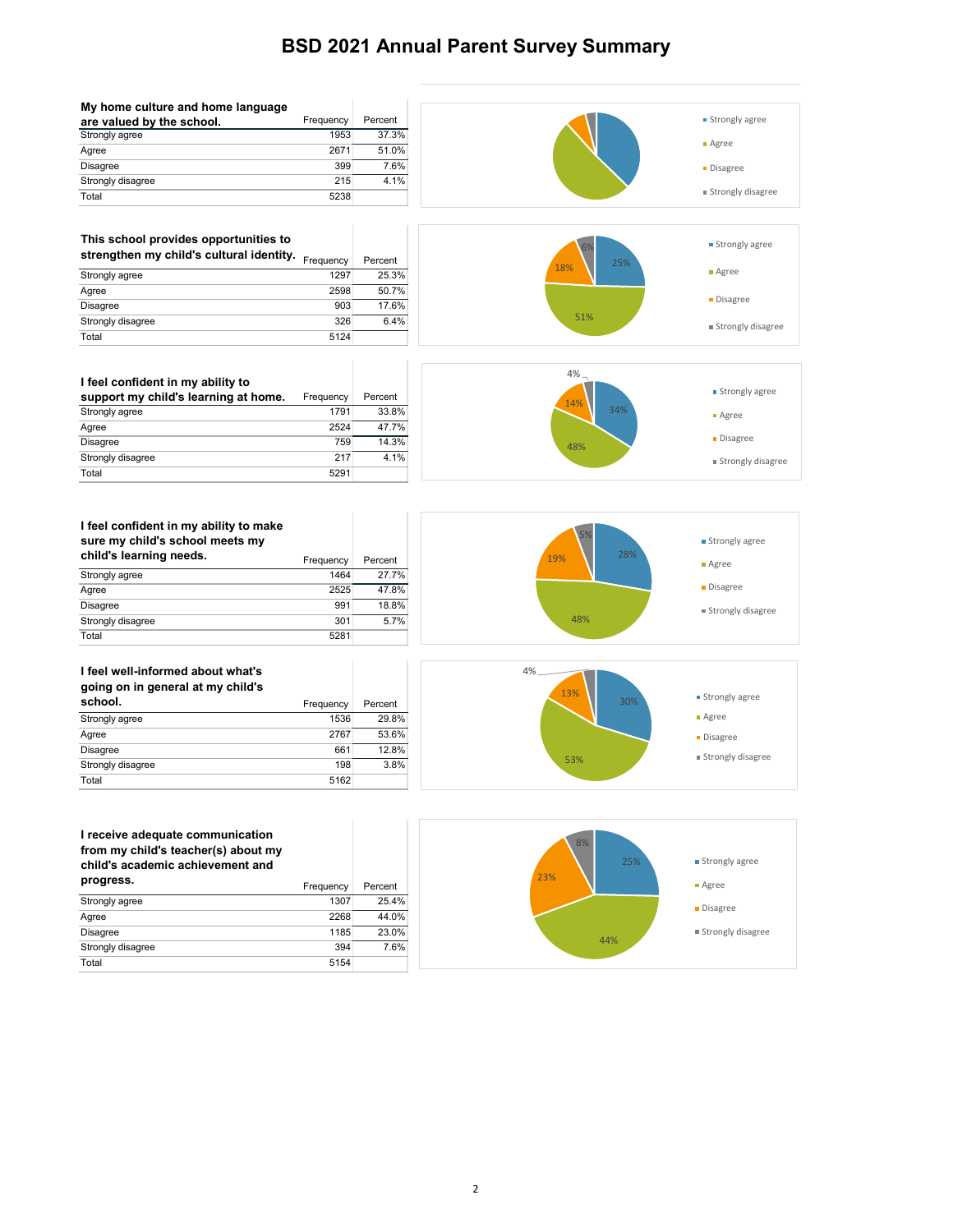| My home culture and home language |           |         |
|-----------------------------------|-----------|---------|
| are valued by the school.         | Frequency | Percent |
| Strongly agree                    | 1953      | 37.3%   |
| Agree                             | 2671      | 51.0%   |
| <b>Disagree</b>                   | 399       | 7.6%    |
| Strongly disagree                 | 215       | 4.1%    |
| Total                             | 5238      |         |

#### **This school provides opportunities to**

| strengthen my child's cultural identity. | Frequency | Percent |
|------------------------------------------|-----------|---------|
| Strongly agree                           | 1297      | 25.3%   |
| Agree                                    | 2598      | 50.7%   |
| Disagree                                 | 903       | 17.6%   |
| Strongly disagree                        | 326       | 6.4%    |
| Total                                    | 5124      |         |

support my child's learning at home. Frequency Percent

**I feel confident in my ability to** 

Total 5291

| $3000$ may ching 3 $30000$ meets my |           |         |
|-------------------------------------|-----------|---------|
| child's learning needs.             | Frequency | Percent |
| Strongly agree                      | 1464      | 27.7    |
| Agree                               | 2525      | 47.8    |
| Disagree                            | 991       | 18.8    |
| Strongly disagree                   | 301       | 5.7     |
| Total                               | 5281      |         |
|                                     |           |         |
| I feel well-informed about what's   |           |         |

| going on in general at my child's |           |         |
|-----------------------------------|-----------|---------|
| school.                           | Frequency | Percent |
| Strongly agree                    | 1536      | 29.8%   |
| Agree                             | 2767      | 53.6%   |
| <b>Disagree</b>                   | 661       | 12.8%   |
| Strongly disagree                 | 198       | 3.8%    |
| Total                             | 5162      |         |





#### **I receive adequate communication from my child's teacher(s) about my child's academic achievement and**

| progress.         | Frequency | Percent |
|-------------------|-----------|---------|
| Strongly agree    | 1307      | 25.4%   |
| Agree             | 2268      | 44.0%   |
| <b>Disagree</b>   | 1185      | 23.0%   |
| Strongly disagree | 394       | 7.6%    |
| Total             | 5154      |         |



**Strongly agree** 

**Strongly disagree** 

25%

51%

18%

Agree

**Disagree** 



25% 44% 23% 8%

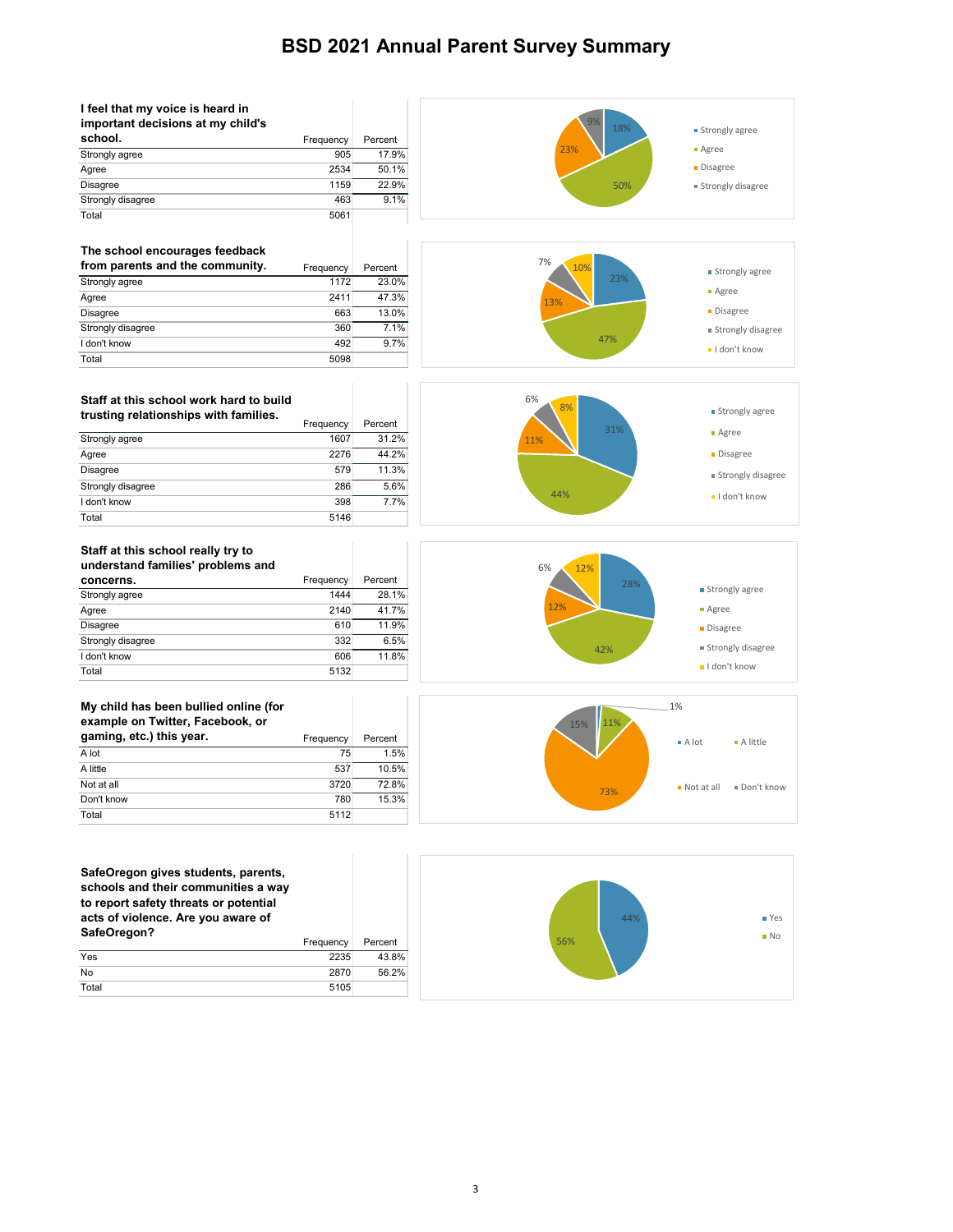| I feel that my voice is heard in<br>important decisions at my child's |           |         |
|-----------------------------------------------------------------------|-----------|---------|
| school.                                                               | Frequency | Percent |
| Strongly agree                                                        | 905       | 17.9%   |
| Agree                                                                 | 2534      | 50.1%   |
| <b>Disagree</b>                                                       | 1159      | 22.9%   |
| Strongly disagree                                                     | 463       | 9.1%    |
| Total                                                                 | 5061      |         |

#### **Staff at this school work hard to build**  trusting relationships with families.

### **The school encourages feedback**

| from parents and the community. | Frequency | Percent |
|---------------------------------|-----------|---------|
| Strongly agree                  | 1172      | 23.0%   |
| Agree                           | 2411      | 47.3%   |
| <b>Disagree</b>                 | 663       | 13.0%   |
| Strongly disagree               | 360       | 7.1%    |
| I don't know                    | 492       | 9.7%    |
| Total                           | 5098      |         |

**SafeOregon gives students, parents, schools and their communities a way to report safety threats or potential acts of violence. Are you aware of**  SafeOregon? **Fixage SafeOregon?** Frequency Percent

|                   | <b>Frequency</b> | Percent |
|-------------------|------------------|---------|
| Strongly agree    | 1607             | 31.2%   |
| Agree             | 2276             | 44.2%   |
| <b>Disagree</b>   | 579              | 11.3%   |
| Strongly disagree | 286              | 5.6%    |
| I don't know      | 398              | 7.7%    |
| Total             | 5146             |         |

#### **My child has been bullied online (for example on Twitter, Facebook, or**  gaming, etc.) this year. **Example 20 Frequency** Percent A lot  $\begin{array}{ccc} 75 & 1.5\% \end{array}$ A little  $537$  and  $537$  and  $50.5\%$ Not at all 3720 72.8% Don't know 780 15.3% Total 5112



|     | <b>Liedaelicy</b> | <u>Leireil</u> |
|-----|-------------------|----------------|
| Yes | 2235              | 43.8%          |

| 2870<br>No    | $-2 - 2$<br><b></b><br>, , , |
|---------------|------------------------------|
| Total<br>5105 |                              |







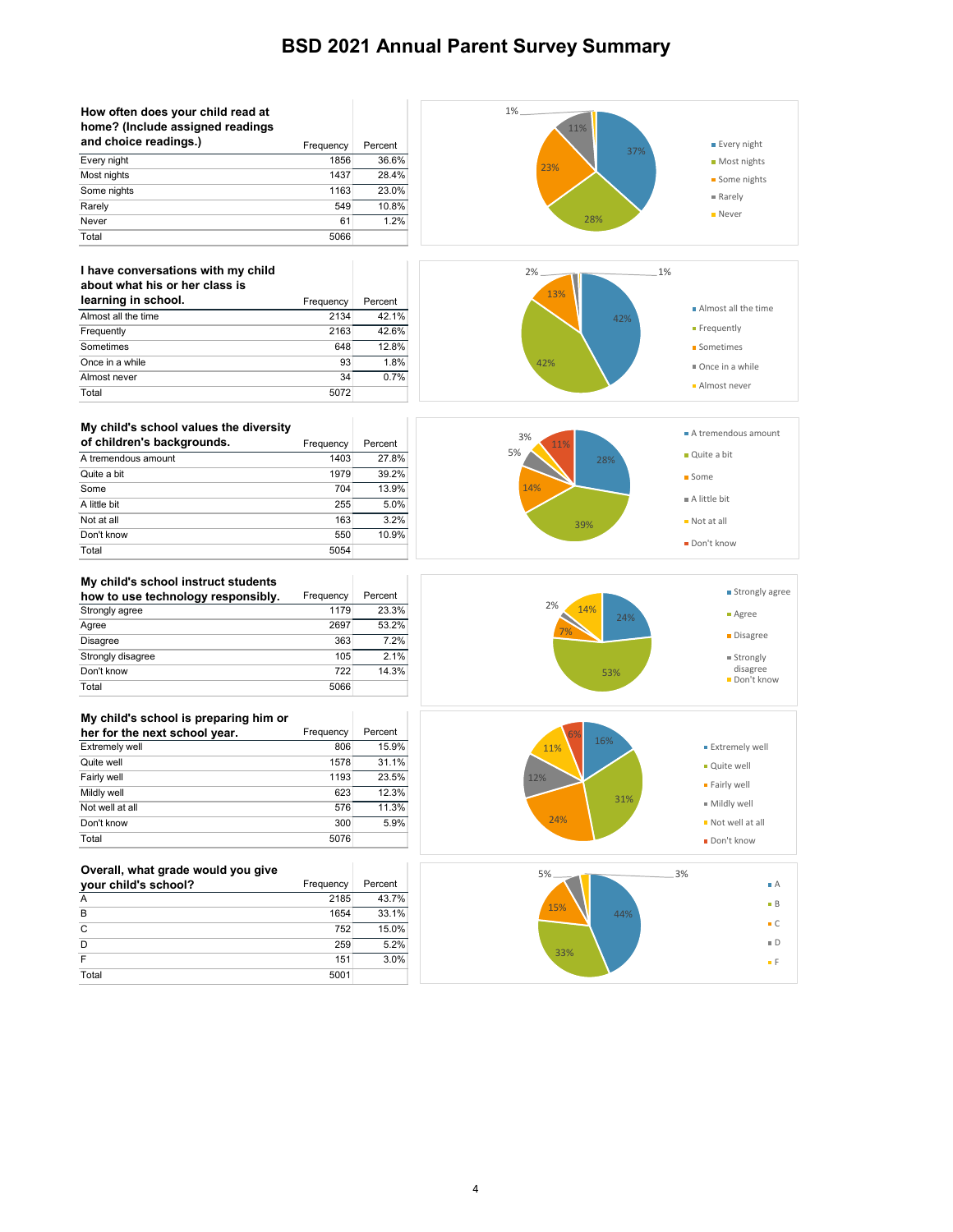### **My child's school instruct students how to use technology responsibly.** Frequency Percent<br>Strongly agree 1179 23.3% Strongly agree Agree 2697 53.2%

| Disagree                              | 363       | 7.2%    |
|---------------------------------------|-----------|---------|
| Strongly disagree                     | 105       | 2.1%    |
| Don't know                            | 722       | 14.3%   |
| Total                                 | 5066      |         |
|                                       |           |         |
| My child's school is preparing him or |           |         |
| her for the next school year.         | Frequency | Percent |
| Evtromoly                             | 906       | 15.004  |

| 806<br>Extremely well  | 15.9% |
|------------------------|-------|
| 1578<br>Quite well     | 31.1% |
| Fairly well<br>1193    | 23.5% |
| Mildly well<br>623     | 12.3% |
| Not well at all<br>576 | 11.3% |
| Don't know<br>300      | 5.9%  |
| Total<br>5076          |       |

| How often does your child read at<br>home? (Include assigned readings |           |         | 1%<br>11% |                             |
|-----------------------------------------------------------------------|-----------|---------|-----------|-----------------------------|
| and choice readings.)                                                 | Frequency | Percent |           | <b>Every night</b>          |
| Every night                                                           | 1856      | 36.6%   | 37%       |                             |
| Most nights                                                           | 1437      | 28.4%   | 23%       | • Most nights               |
| Some nights                                                           | 1163      | 23.0%   |           | Some nights                 |
| Rarely                                                                | 549       | 10.8%   |           | Rarely                      |
| Never                                                                 | 61        | 1.2%    | 28%       | <b>Never</b>                |
| Total                                                                 | 5066      |         |           |                             |
|                                                                       |           |         |           |                             |
| I have conversations with my child                                    |           |         | 2%        | 1%                          |
| about what his or her class is                                        |           |         |           |                             |
| learning in school.                                                   | Frequency | Percent | 13%       |                             |
| Almost all the time                                                   | 2134      | 42.1%   | 42%       | Almost all the time         |
| Frequently                                                            | 2163      | 42.6%   |           | Frequently                  |
| Sometimes                                                             | 648       | 12.8%   |           | ■ Sometimes                 |
| Once in a while                                                       | 93        | 1.8%    | 42%       | Once in a while             |
| Almost never                                                          | 34        | 0.7%    |           |                             |
| Total                                                                 | 5072      |         |           | Almost never                |
|                                                                       |           |         |           |                             |
| My child's school values the diversity                                |           |         |           | A tremendous amount         |
| of children's backgrounds.                                            | Frequency | Percent | 3%<br>11% |                             |
| A tremendous amount                                                   | 1403      | 27.8%   | 5%<br>28% | Quite a bit                 |
| Quite a bit                                                           | 1979      | 39.2%   |           | ■ Some                      |
| Some                                                                  | 704       | 13.9%   | 14%       |                             |
| A little bit                                                          | 255       | 5.0%    |           | $\blacksquare$ A little bit |
| Not at all                                                            | 163       | 3.2%    | 39%       | $\blacksquare$ Not at all   |
| Don't know                                                            | 550       | 10.9%   |           |                             |
| Total                                                                 | 5054      |         |           | Don't know                  |

### **Overall, what grade would you give**

| your child's school? | Frequency | Percent |  |
|----------------------|-----------|---------|--|
|                      | 2185      | 43.7%   |  |
| B                    | 1654      | 33.1%   |  |
| C                    | 752       | 15.0%   |  |
| D                    | 259       | 5.2%    |  |
|                      | 151       | 3.0%    |  |

|--|--|--|